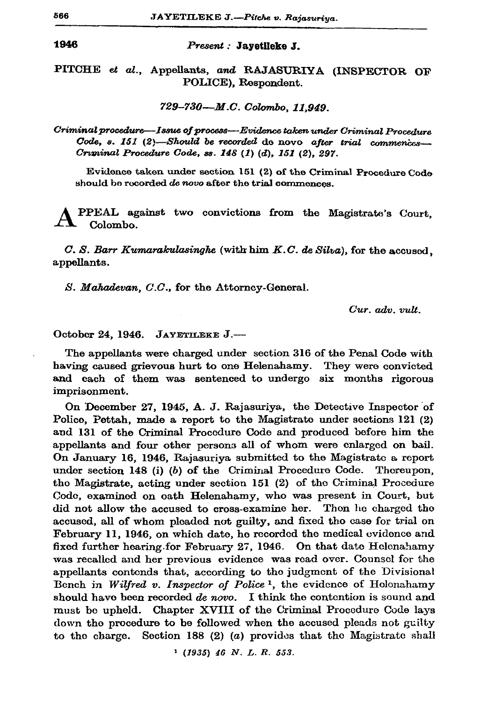1946

## Present : Jayetileke J.

PITCHE et al., Appellants, and RAJASURIYA (INSPECTOR OF POLICE), Respondent.

729-730--M.C. Colombo, 11.949.

Criminal procedure—Issue of process—Evidence taken under Criminal Procedure Code, s. 151 (2)-Should be recorded do novo after trial commences-Criminal Procedure Code, ss. 148 (1) (d), 151 (2), 297.

Evidence taken under section 151 (2) of the Criminal Procedure Code should be recorded de novo after the trial commences.

PPEAL against two convictions from the Magistrate's Court, Colombo.

C. S. Barr Kumarakulasinghe (with him K.C. de Silva), for the accused, appellants.

S. Mahadevan, C.C., for the Attorney-General.

Cur. adv. vult.

October 24, 1946. JAYETILEKE J.-

The appellants were charged under section 316 of the Penal Code with having caused grievous hurt to one Helenahamy. They were convicted and each of them was sentenced to undergo six months rigorous imprisonment.

On December 27, 1945, A. J. Rajasuriya, the Detective Inspector of Police, Pettah, made a report to the Magistrate under sections 121 (2) and 131 of the Criminal Procedure Code and produced before him the appellants and four other persons all of whom were enlarged on bail. On January 16, 1946, Rajasuriya submitted to the Magistrate a report under section 148 (i) (b) of the Criminal Procedure Code. Thereupon, the Magistrate, acting under section 151 (2) of the Criminal Procedure Code, examined on oath Helenahamy, who was present in Court, but did not allow the accused to cross-examine her. Thon he charged the accused, all of whom pleaded not guilty, and fixed tho case for trial on February 11, 1946, on which date, he recorded the medical evidence and fixed further hearing for February 27, 1946. On that date Helenahamy was recalled and her previous evidence was read over. Counsel for the appellants contends that, according to the judgment of the Divisional Bench in Wilfred v. Inspector of Police<sup>1</sup>, the evidence of Holonahamy should have been recorded de novo. I think the contention is sound and must be upheld. Chapter XVIII of the Criminal Procedure Code lays down the procedure to be followed when the accused pleads not guilty to the charge. Section 188 (2) ( $a$ ) provides that the Magistrate shall

 $(1935)$  46 N. L. R. 553.